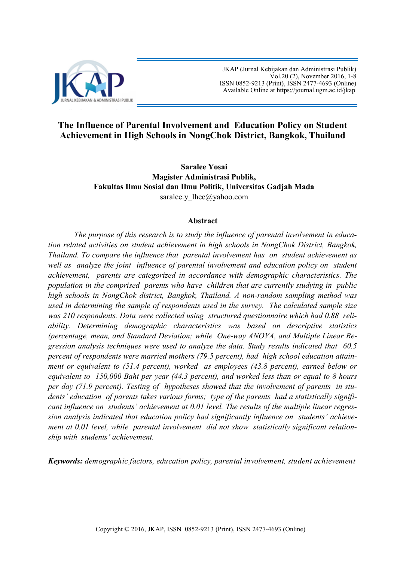

 JKAP (Jurnal Kebijakan dan Administrasi Publik) Vol.20 (2), November 2016, 1-8 ISSN 0852-9213 (Print), ISSN 2477-4693 (Online) Available Online at [https://journal.ugm.ac.id/jkap](http://journal.ugm.ac.id/jkap)

# **The Influence of Parental Involvement and Education Policy on Student Achievement in High Schools in NongChok District, Bangkok, Thailand**

**Saralee Yosai Magister Administrasi Publik, Fakultas Ilmu Sosial dan Ilmu Politik, Universitas Gadjah Mada** [saralee.y\\_lhee@yahoo.com](mailto:saralee.y_lhee@yahoo.com)

#### **Abstract**

*The purpose of this research is to study the influence of parental involvement in education related activities on student achievement in high schools in NongChok District, Bangkok, Thailand. To compare the influence that parental involvement has on student achievement as well as analyze the joint influence of parental involvement and education policy on student achievement, parents are categorized in accordance with demographic characteristics. The population in the comprised parents who have children that are currently studying in public high schools in NongChok district, Bangkok, Thailand. A non-random sampling method was used in determining the sample of respondents used in the survey. The calculated sample size was 210 respondents. Data were collected using structured questionnaire which had 0.88 reliability. Determining demographic characteristics was based on descriptive statistics (percentage, mean, and Standard Deviation; while One-way ANOVA, and Multiple Linear Regression analysis techniques were used to analyze the data. Study results indicated that 60.5 percent of respondents were married mothers (79.5 percent), had high school education attainment or equivalent to (51.4 percent), worked as employees (43.8 percent), earned below or equivalent to 150,000 Baht per year (44.3 percent), and worked less than or equal to 8 hours per day (71.9 percent). Testing of hypotheses showed that the involvement of parents in students' education of parents takes various forms; type of the parents had a statistically significant influence on students' achievement at 0.01 level. The results of the multiple linear regression analysis indicated that education policy had significantly influence on students' achievement at 0.01 level, while parental involvement did not show statistically significant relationship with students' achievement.* 

*Keywords: demographic factors, education policy, parental involvement, student achievement*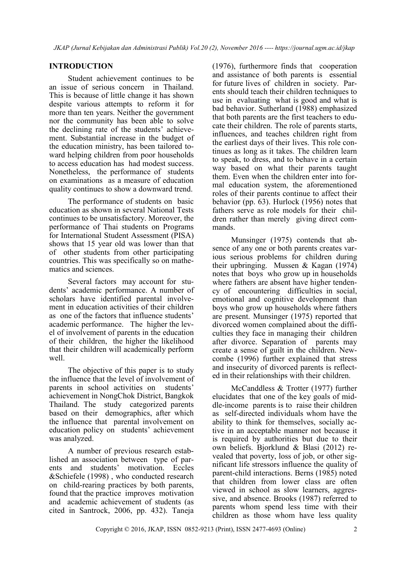## **INTRODUCTION**

Student achievement continues to be an issue of serious concern in Thailand. This is because of little change it has shown despite various attempts to reform it for more than ten years. Neither the government nor the community has been able to solve the declining rate of the students' achievement. Substantial increase in the budget of the education ministry, has been tailored toward helping children from poor households to access education has had modest success. Nonetheless, the performance of students on examinations as a measure of education quality continues to show a downward trend.

The performance of students on basic education as shown in several National Tests continues to be unsatisfactory. Moreover, the performance of Thai students on Programs for International Student Assessment (PISA) shows that 15 year old was lower than that of other students from other participating countries. This was specifically so on mathematics and sciences.

Several factors may account for students' academic performance. A number of scholars have identified parental involvement in education activities of their children as one of the factors that influence students' academic performance. The higher the level of involvement of parents in the education of their children, the higher the likelihood that their children will academically perform well.

The objective of this paper is to study the influence that the level of involvement of parents in school activities on students' achievement in NongChok District, Bangkok Thailand. The study categorized parents based on their demographics, after which the influence that parental involvement on education policy on students' achievement was analyzed.

A number of previous research established an association between type of parents and students' motivation. Eccles &Schiefele (1998) , who conducted research on child-rearing practices by both parents, found that the practice improves motivation and academic achievement of students (as cited in Santrock, 2006, pp. 432). Taneja

(1976), furthermore finds that cooperation and assistance of both parents is essential for future lives of children in society. Parents should teach their children techniques to use in evaluating what is good and what is bad behavior. Sutherland (1988) emphasized that both parents are the first teachers to educate their children. The role of parents starts, influences, and teaches children right from the earliest days of their lives. This role continues as long as it takes. The children learn to speak, to dress, and to behave in a certain way based on what their parents taught them. Even when the children enter into formal education system, the aforementioned roles of their parents continue to affect their behavior (pp. 63). Hurlock (1956) notes that fathers serve as role models for their children rather than merely giving direct commands.

Munsinger (1975) contends that absence of any one or both parents creates various serious problems for children during their upbringing. Mussen & Kagan (1974) notes that boys who grow up in households where fathers are absent have higher tendency of encountering difficulties in social, emotional and cognitive development than boys who grow up households where fathers are present. Munsinger (1975) reported that divorced women complained about the difficulties they face in managing their children after divorce. Separation of parents may create a sense of guilt in the children. Newcombe (1996) further explained that stress and insecurity of divorced parents is reflected in their relationships with their children.

McCanddless & Trotter (1977) further elucidates that one of the key goals of middle-income parents is to raise their children as self-directed individuals whom have the ability to think for themselves, socially active in an acceptable manner not because it is required by authorities but due to their own beliefs. Bjorklund & Blasi (2012) revealed that poverty, loss of job, or other significant life stressors influence the quality of parent-child interactions. Berns (1985) noted that children from lower class are often viewed in school as slow learners, aggressive, and absence. Brooks (1987) referred to parents whom spend less time with their children as those whom have less quality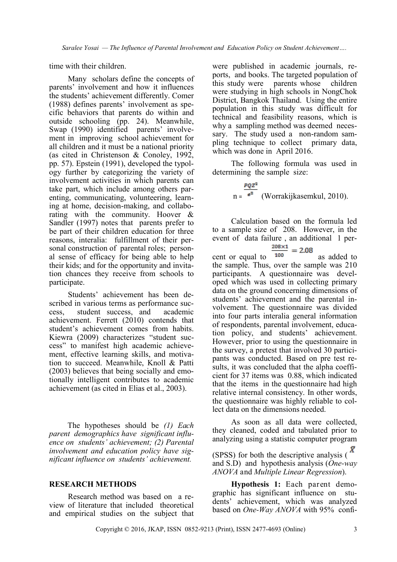time with their children.

Many scholars define the concepts of parents' involvement and how it influences the students' achievement differently. Comer (1988) defines parents' involvement as specific behaviors that parents do within and outside schooling (pp. 24). Meanwhile, Swap (1990) identified parents' involvement in improving school achievement for all children and it must be a national priority (as cited in Christenson & Conoley, 1992, pp. 57). Epstein (1991), developed the typology further by categorizing the variety of involvement activities in which parents can take part, which include among others parenting, communicating, volunteering, learning at home, decision-making, and collaborating with the community. Hoover & Sandler (1997) notes that parents prefer to be part of their children education for three reasons, interalia: fulfillment of their personal construction of parental roles; personal sense of efficacy for being able to help their kids; and for the opportunity and invitation chances they receive from schools to participate.

Students' achievement has been described in various terms as performance success, student success, and academic achievement. Ferrett (2010) contends that student's achievement comes from habits. Kiewra (2009) characterizes "student success" to manifest high academic achievement, effective learning skills, and motivation to succeed. Meanwhile, Knoll & Patti (2003) believes that being socially and emotionally intelligent contributes to academic achievement (as cited in Elias et al., 2003).

The hypotheses should be *(1) Each parent demographics have significant influence on students' achievement; (2) Parental involvement and education policy have significant influence on students' achievement.*

#### **RESEARCH METHODS**

Research method was based on a review of literature that included theoretical and empirical studies on the subject that

were published in academic journals, reports, and books. The targeted population of this study were parents whose children were studying in high schools in NongChok District, Bangkok Thailand. Using the entire population in this study was difficult for technical and feasibility reasons, which is why a sampling method was deemed necessary. The study used a non-random sampling technique to collect primary data, which was done in April 2016.

The following formula was used in determining the sample size:

$$
n = \frac{PQZ^2}{e^2}
$$
 (Worrakijkasemkul, 2010).

Calculation based on the formula led to a sample size of 208. However, in the event of data failure, an additional 1 per-<br> $\frac{208 \times 1}{2} = 2.08$ 

cent or equal to  $\frac{100}{100}$  - 2.00 as added to the sample. Thus, over the sample was 210 participants. A questionnaire was developed which was used in collecting primary data on the ground concerning dimensions of students' achievement and the parental involvement. The questionnaire was divided into four parts interalia general information of respondents, parental involvement, education policy, and students' achievement. However, prior to using the questionnaire in the survey, a pretest that involved 30 participants was conducted. Based on pre test results, it was concluded that the alpha coefficient for 37 items was 0.88, which indicated that the items in the questionnaire had high relative internal consistency. In other words, the questionnaire was highly reliable to collect data on the dimensions needed.

As soon as all data were collected, they cleaned, coded and tabulated prior to analyzing using a statistic computer program

(SPSS) for both the descriptive analysis ( $\bar{X}$ and S.D) and hypothesis analysis (*One-way ANOVA* and *Multiple Linear Regression*).

**Hypothesis 1:** Each parent demographic has significant influence on students' achievement, which was analyzed based on *One-Way ANOVA* with 95% confi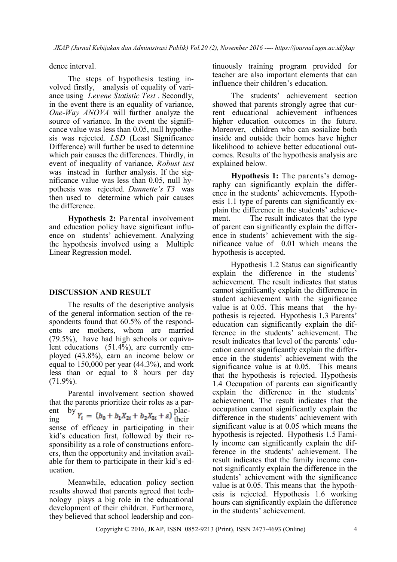dence interval.

The steps of hypothesis testing involved firstly, analysis of equality of variance using *Levene Statistic Test* . Secondly, in the event there is an equality of variance, *One-Way ANOVA* will further analyze the source of variance. In the event the significance value was less than 0.05, null hypothesis was rejected. *LSD* (Least Significance Difference) will further be used to determine which pair causes the differences. Thirdly, in event of inequality of variance, *Robust test* was instead in further analysis. If the significance value was less than 0.05, null hypothesis was rejected. *Dunnette's T3* was then used to determine which pair causes the difference.

**Hypothesis 2:** Parental involvement and education policy have significant influence on students' achievement. Analyzing the hypothesis involved using a Multiple Linear Regression model.

#### **DISCUSSION AND RESULT**

The results of the descriptive analysis of the general information section of the respondents found that 60.5% of the respondents are mothers, whom are married (79.5%), have had high schools or equivalent educations (51.4%), are currently employed (43.8%), earn an income below or equal to 150,000 per year (44.3%), and work less than or equal to 8 hours per day  $(71.9\%)$ .

Parental involvement section showed that the parents prioritize their roles as a parent by  $p_1$  placing  $r_i = (b_0 + b_1X_{2i} + b_2X_{3i} + \varepsilon)$  their sense of efficacy in participating in their kid's education first, followed by their responsibility as a role of constructions enforcers, then the opportunity and invitation available for them to participate in their kid's education.

Meanwhile, education policy section results showed that parents agreed that technology plays a big role in the educational development of their children. Furthermore, they believed that school leadership and continuously training program provided for teacher are also important elements that can influence their children's education.

The students' achievement section showed that parents strongly agree that current educational achievement influences higher education outcomes in the future. Moreover, children who can sosialize both inside and outside their homes have higher likelihood to achieve better educational outcomes. Results of the hypothesis analysis are explained below.

**Hypothesis 1:** The parents's demography can significantly explain the difference in the students' achievements. Hypothesis 1.1 type of parents can significantly explain the difference in the students' achievement. The result indicates that the type of parent can significantly explain the difference in students' achievement with the significance value of 0.01 which means the hypothesis is accepted.

Hypothesis 1.2 Status can significantly explain the difference in the students' achievement. The result indicates that status cannot significantly explain the difference in student achievement with the significance value is at 0.05. This means that the hypothesis is rejected. Hypothesis 1.3 Parents' education can significantly explain the difference in the students' achievement. The result indicates that level of the parents' education cannot significantly explain the difference in the students' achievement with the significance value is at 0.05. This means that the hypothesis is rejected. Hypothesis 1.4 Occupation of parents can significantly explain the difference in the students' achievement. The result indicates that the occupation cannot significantly explain the difference in the students' achievement with significant value is at 0.05 which means the hypothesis is rejected. Hypothesis 1.5 Family income can significantly explain the difference in the students' achievement. The result indicates that the family income cannot significantly explain the difference in the students' achievement with the significance value is at 0.05. This means that the hypothesis is rejected. Hypothesis 1.6 working hours can significantly explain the difference in the students' achievement.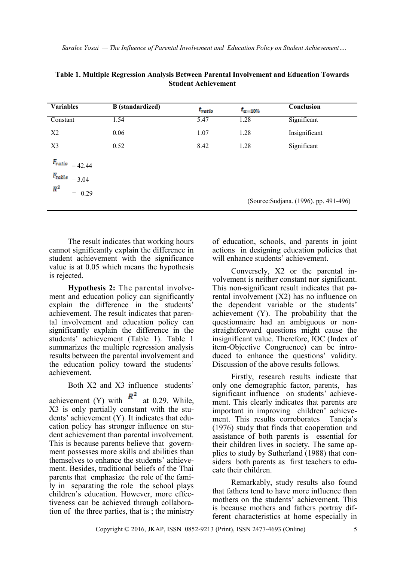| <b>Variables</b>    | $\overline{B}$ (standardized) | $t_{ratio}$ | $t_{\alpha=10\%}$ | Conclusion                             |
|---------------------|-------------------------------|-------------|-------------------|----------------------------------------|
| Constant            | 1.54                          | 5.47        | 1.28              | Significant                            |
| X <sub>2</sub>      | 0.06                          | 1.07        | 1.28              | Insignificant                          |
| X3                  | 0.52                          | 8.42        | 1.28              | Significant                            |
| $F_{ratio}$ = 42.44 |                               |             |                   |                                        |
| $F_{table}$ = 3.04  |                               |             |                   |                                        |
| $R^2$<br>$= 0.29$   |                               |             |                   |                                        |
|                     |                               |             |                   | (Source: Sudjana. (1996). pp. 491-496) |

| Table 1. Multiple Regression Analysis Between Parental Involvement and Education Towards |  |  |  |  |  |
|------------------------------------------------------------------------------------------|--|--|--|--|--|
| <b>Student Achievement</b>                                                               |  |  |  |  |  |

The result indicates that working hours cannot significantly explain the difference in student achievement with the significance value is at 0.05 which means the hypothesis is rejected.

**Hypothesis 2:** The parental involvement and education policy can significantly explain the difference in the students' achievement. The result indicates that parental involvement and education policy can significantly explain the difference in the students' achievement (Table 1). Table 1 summarizes the multiple regression analysis results between the parental involvement and the education policy toward the students' achievement.

# Both X2 and X3 influence students'

achievement (Y) with  $R^2$  at 0.29. While, X3 is only partially constant with the students' achievement (Y). It indicates that education policy has stronger influence on student achievement than parental involvement. This is because parents believe that government possesses more skills and abilities than themselves to enhance the students' achievement. Besides, traditional beliefs of the Thai parents that emphasize the role of the family in separating the role the school plays children's education. However, more effectiveness can be achieved through collaboration of the three parties, that is ; the ministry

of education, schools, and parents in joint actions in designing education policies that will enhance students' achievement.

Conversely, X2 or the parental involvement is neither constant nor significant. This non-significant result indicates that parental involvement (X2) has no influence on the dependent variable or the students' achievement (Y). The probability that the questionnaire had an ambiguous or nonstraightforward questions might cause the insignificant value. Therefore, IOC (Index of item-Objective Congruence) can be introduced to enhance the questions' validity. Discussion of the above results follows.

Firstly, research results indicate that only one demographic factor, parents, has significant influence on students' achievement. This clearly indicates that parents are important in improving children' achievement. This results corroborates Taneja's (1976) study that finds that cooperation and assistance of both parents is essential for their children lives in society. The same applies to study by Sutherland (1988) that considers both parents as first teachers to educate their children.

Remarkably, study results also found that fathers tend to have more influence than mothers on the students' achievement. This is because mothers and fathers portray different characteristics at home especially in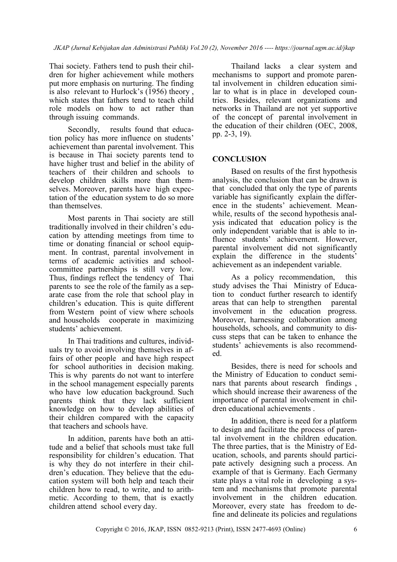Thai society. Fathers tend to push their children for higher achievement while mothers put more emphasis on nurturing. The finding is also relevant to Hurlock's (1956) theory , which states that fathers tend to teach child role models on how to act rather than through issuing commands.

Secondly, results found that education policy has more influence on students' achievement than parental involvement. This is because in Thai society parents tend to have higher trust and belief in the ability of teachers of their children and schools to develop children skills more than themselves. Moreover, parents have high expectation of the education system to do so more than themselves.

Most parents in Thai society are still traditionally involved in their children's education by attending meetings from time to time or donating financial or school equipment. In contrast, parental involvement in terms of academic activities and schoolcommittee partnerships is still very low. Thus, findings reflect the tendency of Thai parents to see the role of the family as a separate case from the role that school play in children's education. This is quite different from Western point of view where schools and households cooperate in maximizing students' achievement.

In Thai traditions and cultures, individuals try to avoid involving themselves in affairs of other people and have high respect for school authorities in decision making. This is why parents do not want to interfere in the school management especially parents who have low education background. Such parents think that they lack sufficient knowledge on how to develop abilities of their children compared with the capacity that teachers and schools have.

In addition, parents have both an attitude and a belief that schools must take full responsibility for children's education. That is why they do not interfere in their children's education. They believe that the education system will both help and teach their children how to read, to write, and to arithmetic. According to them, that is exactly children attend school every day.

Thailand lacks a clear system and mechanisms to support and promote parental involvement in children education similar to what is in place in developed countries. Besides, relevant organizations and networks in Thailand are not yet supportive of the concept of parental involvement in the education of their children (OEC, 2008, pp. 2-3, 19).

### **CONCLUSION**

Based on results of the first hypothesis analysis, the conclusion that can be drawn is that concluded that only the type of parents variable has significantly explain the difference in the students' achievement. Meanwhile, results of the second hypothesis analysis indicated that education policy is the only independent variable that is able to influence students' achievement. However, parental involvement did not significantly explain the difference in the students' achievement as an independent variable.

As a policy recommendation, this study advises the Thai Ministry of Education to conduct further research to identify areas that can help to strengthen parental involvement in the education progress. Moreover, harnessing collaboration among households, schools, and community to discuss steps that can be taken to enhance the students' achievements is also recommended.

Besides, there is need for schools and the Ministry of Education to conduct seminars that parents about research findings , which should increase their awareness of the importance of parental involvement in children educational achievements .

In addition, there is need for a platform to design and facilitate the process of parental involvement in the children education. The three parties, that is the Ministry of Education, schools, and parents should participate actively designing such a process. An example of that is Germany. Each Germany state plays a vital role in developing a system and mechanisms that promote parental involvement in the children education. Moreover, every state has freedom to define and delineate its policies and regulations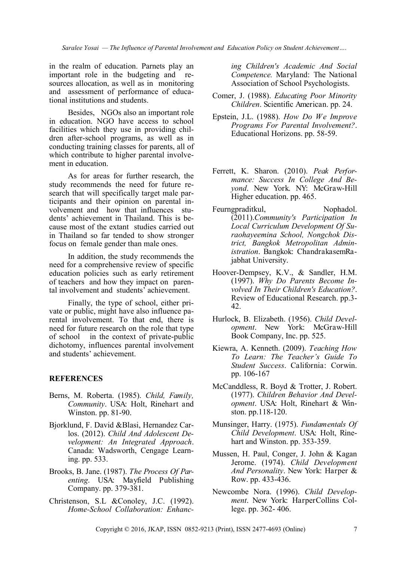*Saralee Yosai — The Influence of Parental Involvement and Education Policy on Student Achievement….*

in the realm of education. Parnets play an important role in the budgeting and resources allocation, as well as in monitoring and assessment of performance of educational institutions and students.

Besides, NGOs also an important role in education. NGO have access to school facilities which they use in providing children after-school programs, as well as in conducting training classes for parents, all of which contribute to higher parental involvement in education.

As for areas for further research, the study recommends the need for future research that will specifically target male participants and their opinion on parental involvement and how that influences students' achievement in Thailand. This is because most of the extant studies carried out in Thailand so far tended to show stronger focus on female gender than male ones.

In addition, the study recommends the need for a comprehensive review of specific education policies such as early retirement of teachers and how they impact on parental involvement and students' achievement.

Finally, the type of school, either private or public, might have also influence parental involvement. To that end, there is need for future research on the role that type of school in the context of private-public dichotomy, influences parental involvement and students' achievement.

#### **REFERENCES**

- Berns, M. Roberta. (1985). *Child, Family, Community*. USA: Holt, Rinehart and Winston. pp. 81-90.
- Bjorklund, F. David &Blasi, Hernandez Carlos. (2012). *Child And Adolescent Development: An Integrated Approach*. Canada: Wadsworth, Cengage Learning. pp. 533.
- Brooks, B. Jane. (1987). *The Process Of Parenting*. USA: Mayfield Publishing Company. pp. 379-381.
- Christenson, S.L &Conoley, J.C. (1992). *Home-School Collaboration: Enhanc-*

*ing Children's Academic And Social Competence.* Maryland: The National Association of School Psychologists.

- Comer, J. (1988). *Educating Poor Minority Children*. Scientific American. pp. 24.
- Epstein, J.L. (1988). *How Do We Improve Programs For Parental Involvement?*. Educational Horizons. pp. 58-59.
- Ferrett, K. Sharon. (2010). *Peak Performance: Success In College And Beyond*. New York. NY: McGraw-Hill Higher education. pp. 465.
- Feurngpraditkul, Nophadol. (2011).*Community's Participation In Local Curriculum Development Of Suraohayeemina School, Nongchok District, Bangkok Metropolitan Administration*. Bangkok: ChandrakasemRajabhat University.
- Hoover-Dempsey, K.V., & Sandler, H.M. (1997). *Why Do Parents Become Involved In Their Children's Education?*. Review of Educational Research. pp.3- 42.
- Hurlock, B. Elizabeth. (1956). *Child Development*. New York: McGraw-Hill Book Company, Inc. pp. 525.
- Kiewra, A. Kenneth. (2009). *Teaching How To Learn: The Teacher's Guide To Student Success*. California: Corwin. pp. 106-167
- McCanddless, R. Boyd & Trotter, J. Robert. (1977). *Children Behavior And Development*. USA: Holt, Rinehart & Winston. pp.118-120.
- Munsinger, Harry. (1975). *Fundamentals Of Child Development*. USA: Holt, Rinehart and Winston. pp. 353-359.
- Mussen, H. Paul, Conger, J. John & Kagan Jerome. (1974). *Child Development And Personality*. New York: Harper & Row. pp. 433-436.
- Newcombe Nora. (1996). *Child Development*. New York: HarperCollins College. pp. 362- 406.